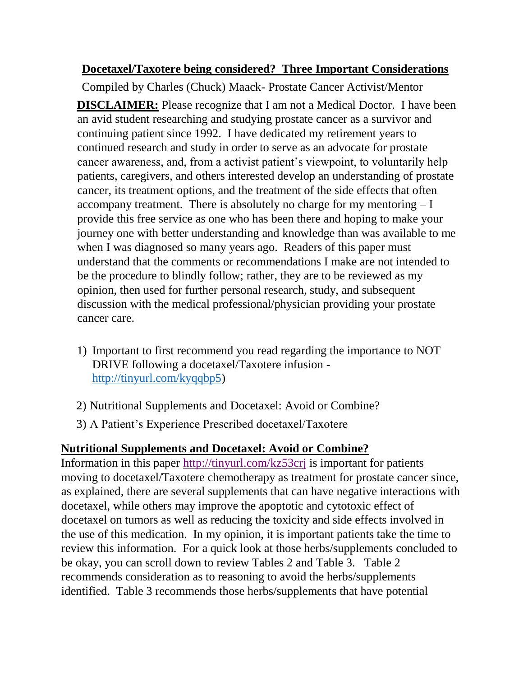## **Docetaxel/Taxotere being considered? Three Important Considerations**

Compiled by Charles (Chuck) Maack- Prostate Cancer Activist/Mentor **DISCLAIMER:** Please recognize that I am not a Medical Doctor. I have been an avid student researching and studying prostate cancer as a survivor and continuing patient since 1992. I have dedicated my retirement years to continued research and study in order to serve as an advocate for prostate cancer awareness, and, from a activist patient's viewpoint, to voluntarily help patients, caregivers, and others interested develop an understanding of prostate cancer, its treatment options, and the treatment of the side effects that often accompany treatment. There is absolutely no charge for my mentoring  $-I$ provide this free service as one who has been there and hoping to make your journey one with better understanding and knowledge than was available to me when I was diagnosed so many years ago. Readers of this paper must understand that the comments or recommendations I make are not intended to be the procedure to blindly follow; rather, they are to be reviewed as my opinion, then used for further personal research, study, and subsequent discussion with the medical professional/physician providing your prostate cancer care.

- 1) Important to first recommend you read regarding the importance to NOT DRIVE following a docetaxel/Taxotere infusion [http://tinyurl.com/kyqqbp5\)](http://tinyurl.com/kyqqbp5)
- 2) Nutritional Supplements and Docetaxel: Avoid or Combine?
- 3) A Patient's Experience Prescribed docetaxel/Taxotere

## **Nutritional Supplements and Docetaxel: Avoid or Combine?**

Information in this paper <http://tinyurl.com/kz53crj> is important for patients moving to docetaxel/Taxotere chemotherapy as treatment for prostate cancer since, as explained, there are several supplements that can have negative interactions with docetaxel, while others may improve the apoptotic and cytotoxic effect of docetaxel on tumors as well as reducing the toxicity and side effects involved in the use of this medication. In my opinion, it is important patients take the time to review this information. For a quick look at those herbs/supplements concluded to be okay, you can scroll down to review Tables 2 and Table 3. Table 2 recommends consideration as to reasoning to avoid the herbs/supplements identified. Table 3 recommends those herbs/supplements that have potential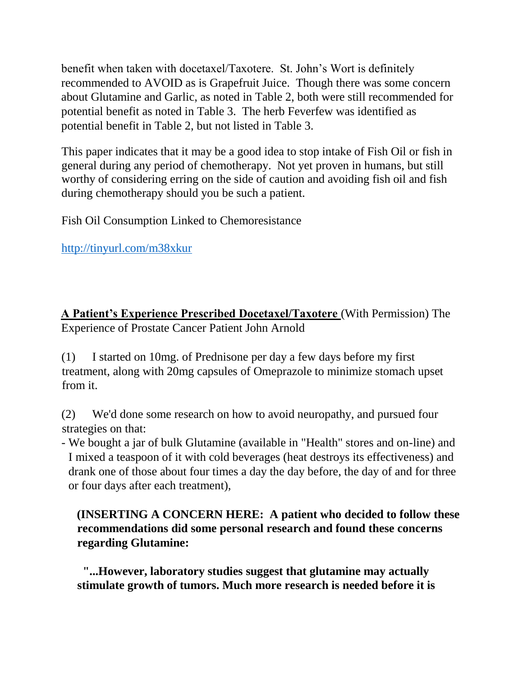benefit when taken with docetaxel/Taxotere. St. John's Wort is definitely recommended to AVOID as is Grapefruit Juice. Though there was some concern about Glutamine and Garlic, as noted in Table 2, both were still recommended for potential benefit as noted in Table 3. The herb Feverfew was identified as potential benefit in Table 2, but not listed in Table 3.

This paper indicates that it may be a good idea to stop intake of Fish Oil or fish in general during any period of chemotherapy. Not yet proven in humans, but still worthy of considering erring on the side of caution and avoiding fish oil and fish during chemotherapy should you be such a patient.

Fish Oil Consumption Linked to Chemoresistance

<http://tinyurl.com/m38xkur>

**A Patient's Experience Prescribed Docetaxel/Taxotere** (With Permission) The Experience of Prostate Cancer Patient John Arnold

(1) I started on 10mg. of Prednisone per day a few days before my first treatment, along with 20mg capsules of Omeprazole to minimize stomach upset from it.

(2) We'd done some research on how to avoid neuropathy, and pursued four strategies on that:

- We bought a jar of bulk Glutamine (available in "Health" stores and on-line) and I mixed a teaspoon of it with cold beverages (heat destroys its effectiveness) and drank one of those about four times a day the day before, the day of and for three or four days after each treatment),

**(INSERTING A CONCERN HERE: A patient who decided to follow these recommendations did some personal research and found these concerns regarding Glutamine:**

**"...However, laboratory studies suggest that glutamine may actually stimulate growth of tumors. Much more research is needed before it is**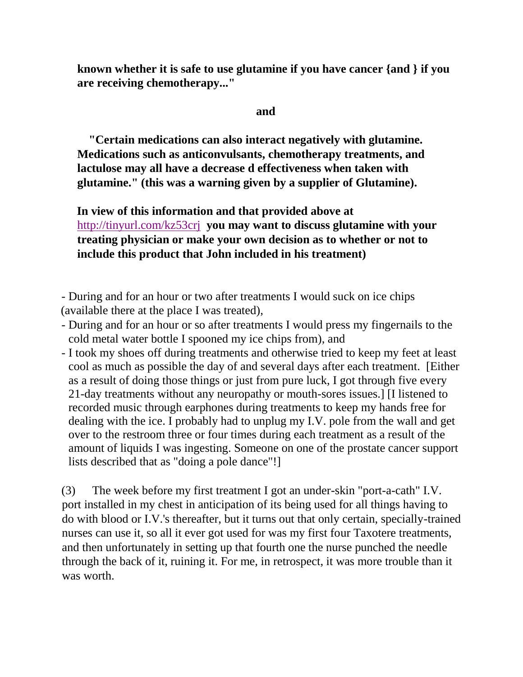**known whether it is safe to use glutamine if you have cancer {and } if you are receiving chemotherapy..."**

## **and and**

 **"Certain medications can also interact negatively with glutamine. Medications such as anticonvulsants, chemotherapy treatments, and lactulose may all have a decrease d effectiveness when taken with glutamine." (this was a warning given by a supplier of Glutamine).**

**In view of this information and that provided above at**  <http://tinyurl.com/kz53crj> **you may want to discuss glutamine with your treating physician or make your own decision as to whether or not to include this product that John included in his treatment)**

- During and for an hour or two after treatments I would suck on ice chips (available there at the place I was treated),

- During and for an hour or so after treatments I would press my fingernails to the cold metal water bottle I spooned my ice chips from), and
- I took my shoes off during treatments and otherwise tried to keep my feet at least cool as much as possible the day of and several days after each treatment. [Either as a result of doing those things or just from pure luck, I got through five every 21-day treatments without any neuropathy or mouth-sores issues.] [I listened to recorded music through earphones during treatments to keep my hands free for dealing with the ice. I probably had to unplug my I.V. pole from the wall and get over to the restroom three or four times during each treatment as a result of the amount of liquids I was ingesting. Someone on one of the prostate cancer support lists described that as "doing a pole dance"!]

(3) The week before my first treatment I got an under-skin "port-a-cath" I.V. port installed in my chest in anticipation of its being used for all things having to do with blood or I.V.'s thereafter, but it turns out that only certain, specially-trained nurses can use it, so all it ever got used for was my first four Taxotere treatments, and then unfortunately in setting up that fourth one the nurse punched the needle through the back of it, ruining it. For me, in retrospect, it was more trouble than it was worth.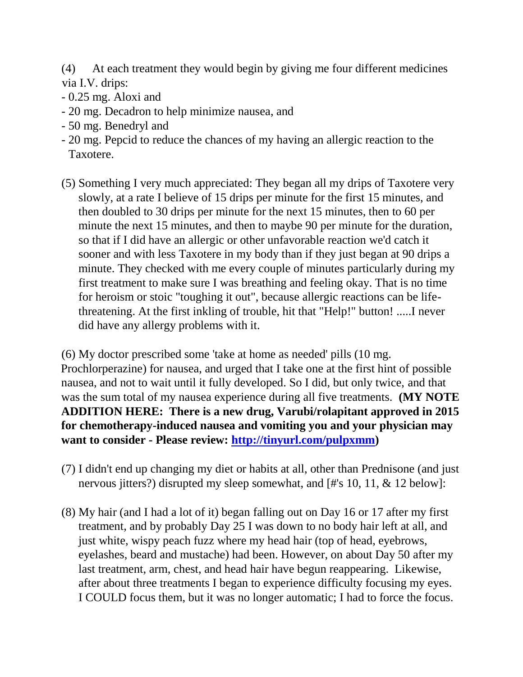- (4) At each treatment they would begin by giving me four different medicines via I.V. drips:
- 0.25 mg. Aloxi and
- 20 mg. Decadron to help minimize nausea, and
- 50 mg. Benedryl and
- 20 mg. Pepcid to reduce the chances of my having an allergic reaction to the Taxotere.
- (5) Something I very much appreciated: They began all my drips of Taxotere very slowly, at a rate I believe of 15 drips per minute for the first 15 minutes, and then doubled to 30 drips per minute for the next 15 minutes, then to 60 per minute the next 15 minutes, and then to maybe 90 per minute for the duration, so that if I did have an allergic or other unfavorable reaction we'd catch it sooner and with less Taxotere in my body than if they just began at 90 drips a minute. They checked with me every couple of minutes particularly during my first treatment to make sure I was breathing and feeling okay. That is no time for heroism or stoic "toughing it out", because allergic reactions can be lifethreatening. At the first inkling of trouble, hit that "Help!" button! .....I never did have any allergy problems with it.

(6) My doctor prescribed some 'take at home as needed' pills (10 mg. Prochlorperazine) for nausea, and urged that I take one at the first hint of possible nausea, and not to wait until it fully developed. So I did, but only twice, and that was the sum total of my nausea experience during all five treatments. **(MY NOTE ADDITION HERE: There is a new drug, Varubi/rolapitant approved in 2015 for chemotherapy-induced nausea and vomiting you and your physician may want to consider - Please review: [http://tinyurl.com/pulpxmm\)](http://tinyurl.com/pulpxmm)**

- (7) I didn't end up changing my diet or habits at all, other than Prednisone (and just nervous jitters?) disrupted my sleep somewhat, and [#'s 10, 11, & 12 below]:
- (8) My hair (and I had a lot of it) began falling out on Day 16 or 17 after my first treatment, and by probably Day 25 I was down to no body hair left at all, and just white, wispy peach fuzz where my head hair (top of head, eyebrows, eyelashes, beard and mustache) had been. However, on about Day 50 after my last treatment, arm, chest, and head hair have begun reappearing. Likewise, after about three treatments I began to experience difficulty focusing my eyes. I COULD focus them, but it was no longer automatic; I had to force the focus.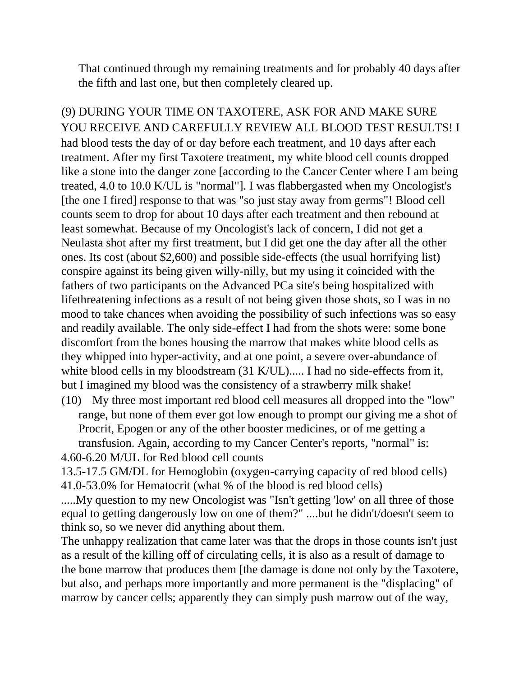That continued through my remaining treatments and for probably 40 days after the fifth and last one, but then completely cleared up.

(9) DURING YOUR TIME ON TAXOTERE, ASK FOR AND MAKE SURE YOU RECEIVE AND CAREFULLY REVIEW ALL BLOOD TEST RESULTS! I had blood tests the day of or day before each treatment, and 10 days after each treatment. After my first Taxotere treatment, my white blood cell counts dropped like a stone into the danger zone [according to the Cancer Center where I am being treated, 4.0 to 10.0 K/UL is "normal"]. I was flabbergasted when my Oncologist's [the one I fired] response to that was "so just stay away from germs"! Blood cell counts seem to drop for about 10 days after each treatment and then rebound at least somewhat. Because of my Oncologist's lack of concern, I did not get a Neulasta shot after my first treatment, but I did get one the day after all the other ones. Its cost (about \$2,600) and possible side-effects (the usual horrifying list) conspire against its being given willy-nilly, but my using it coincided with the fathers of two participants on the Advanced PCa site's being hospitalized with lifethreatening infections as a result of not being given those shots, so I was in no mood to take chances when avoiding the possibility of such infections was so easy and readily available. The only side-effect I had from the shots were: some bone discomfort from the bones housing the marrow that makes white blood cells as they whipped into hyper-activity, and at one point, a severe over-abundance of white blood cells in my bloodstream (31 K/UL)..... I had no side-effects from it, but I imagined my blood was the consistency of a strawberry milk shake!

(10) My three most important red blood cell measures all dropped into the "low" range, but none of them ever got low enough to prompt our giving me a shot of Procrit, Epogen or any of the other booster medicines, or of me getting a transfusion. Again, according to my Cancer Center's reports, "normal" is: 4.60-6.20 M/UL for Red blood cell counts

13.5-17.5 GM/DL for Hemoglobin (oxygen-carrying capacity of red blood cells) 41.0-53.0% for Hematocrit (what % of the blood is red blood cells)

.....My question to my new Oncologist was "Isn't getting 'low' on all three of those equal to getting dangerously low on one of them?" ....but he didn't/doesn't seem to think so, so we never did anything about them.

The unhappy realization that came later was that the drops in those counts isn't just as a result of the killing off of circulating cells, it is also as a result of damage to the bone marrow that produces them [the damage is done not only by the Taxotere, but also, and perhaps more importantly and more permanent is the "displacing" of marrow by cancer cells; apparently they can simply push marrow out of the way,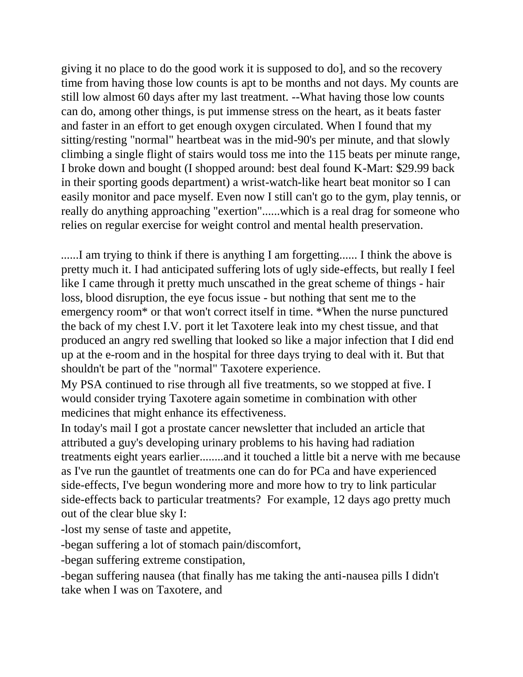giving it no place to do the good work it is supposed to do], and so the recovery time from having those low counts is apt to be months and not days. My counts are still low almost 60 days after my last treatment. --What having those low counts can do, among other things, is put immense stress on the heart, as it beats faster and faster in an effort to get enough oxygen circulated. When I found that my sitting/resting "normal" heartbeat was in the mid-90's per minute, and that slowly climbing a single flight of stairs would toss me into the 115 beats per minute range, I broke down and bought (I shopped around: best deal found K-Mart: \$29.99 back in their sporting goods department) a wrist-watch-like heart beat monitor so I can easily monitor and pace myself. Even now I still can't go to the gym, play tennis, or really do anything approaching "exertion"......which is a real drag for someone who relies on regular exercise for weight control and mental health preservation.

.......I am trying to think if there is anything I am forgetting...... I think the above is pretty much it. I had anticipated suffering lots of ugly side-effects, but really I feel like I came through it pretty much unscathed in the great scheme of things - hair loss, blood disruption, the eye focus issue - but nothing that sent me to the emergency room\* or that won't correct itself in time. \*When the nurse punctured the back of my chest I.V. port it let Taxotere leak into my chest tissue, and that produced an angry red swelling that looked so like a major infection that I did end up at the e-room and in the hospital for three days trying to deal with it. But that shouldn't be part of the "normal" Taxotere experience.

My PSA continued to rise through all five treatments, so we stopped at five. I would consider trying Taxotere again sometime in combination with other medicines that might enhance its effectiveness.

In today's mail I got a prostate cancer newsletter that included an article that attributed a guy's developing urinary problems to his having had radiation treatments eight years earlier........and it touched a little bit a nerve with me because as I've run the gauntlet of treatments one can do for PCa and have experienced side-effects, I've begun wondering more and more how to try to link particular side-effects back to particular treatments? For example, 12 days ago pretty much out of the clear blue sky I:

-lost my sense of taste and appetite,

-began suffering a lot of stomach pain/discomfort,

-began suffering extreme constipation,

-began suffering nausea (that finally has me taking the anti-nausea pills I didn't take when I was on Taxotere, and